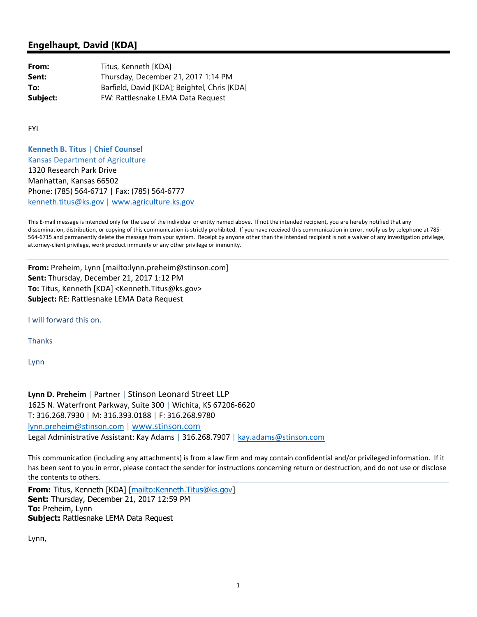## **Engelhaupt, David [KDA]**

**From:** Titus, Kenneth [KDA] **Sent:** Thursday, December 21, 2017 1:14 PM **To:** Barfield, David [KDA]; Beightel, Chris [KDA] **Subject:** FW: Rattlesnake LEMA Data Request

FYI

**Kenneth B. Titus** | **Chief Counsel** Kansas Department of Agriculture 1320 Research Park Drive Manhattan, Kansas 66502 Phone: (785) 564‐6717 | Fax: (785) 564‐6777 kenneth.titus@ks.gov | www.agriculture.ks.gov

This E-mail message is intended only for the use of the individual or entity named above. If not the intended recipient, you are hereby notified that any dissemination, distribution, or copying of this communication is strictly prohibited. If you have received this communication in error, notify us by telephone at 785-564‐6715 and permanently delete the message from your system. Receipt by anyone other than the intended recipient is not a waiver of any investigation privilege, attorney‐client privilege, work product immunity or any other privilege or immunity.

**From:** Preheim, Lynn [mailto:lynn.preheim@stinson.com] **Sent:** Thursday, December 21, 2017 1:12 PM **To:** Titus, Kenneth [KDA] <Kenneth.Titus@ks.gov> **Subject:** RE: Rattlesnake LEMA Data Request

I will forward this on.

**Thanks** 

Lynn

**Lynn D. Preheim** | Partner | Stinson Leonard Street LLP 1625 N. Waterfront Parkway, Suite 300 | Wichita, KS 67206‐6620 T: 316.268.7930 | M: 316.393.0188 | F: 316.268.9780 lynn.preheim@stinson.com | www.stinson.com Legal Administrative Assistant: Kay Adams | 316.268.7907 | kay.adams@stinson.com

This communication (including any attachments) is from a law firm and may contain confidential and/or privileged information. If it has been sent to you in error, please contact the sender for instructions concerning return or destruction, and do not use or disclose the contents to others.

**From:** Titus, Kenneth [KDA] [mailto:Kenneth.Titus@ks.gov] **Sent:** Thursday, December 21, 2017 12:59 PM **To:** Preheim, Lynn **Subject:** Rattlesnake LEMA Data Request

Lynn,